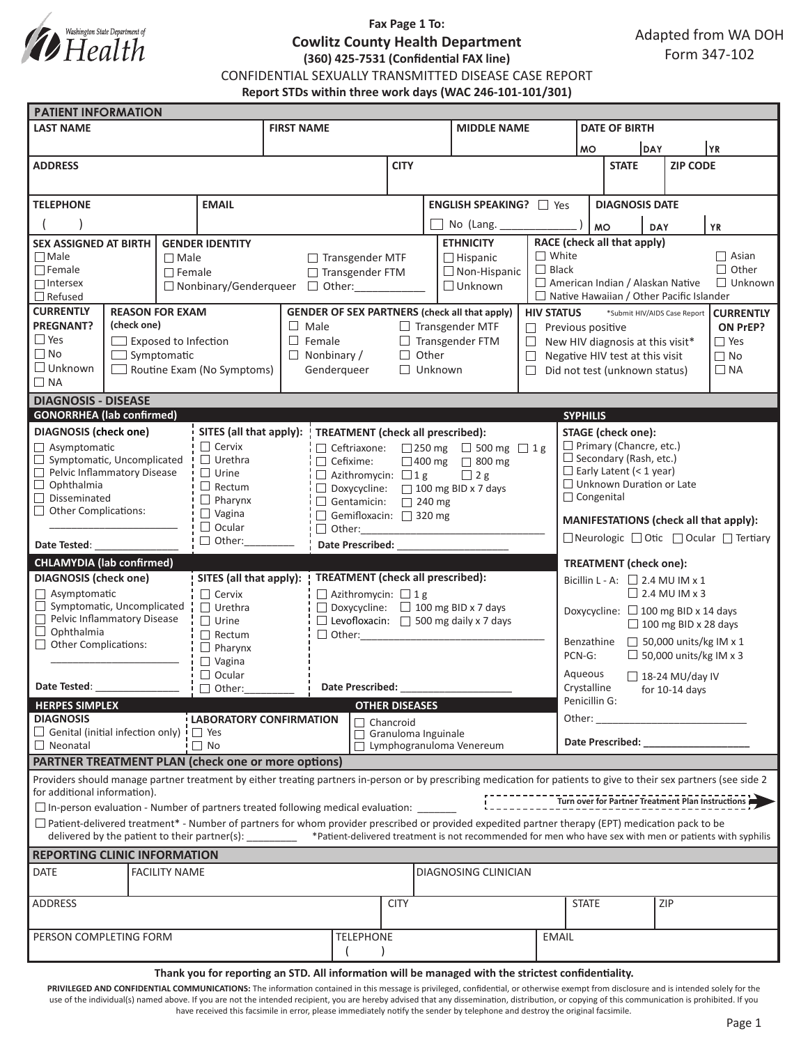

# **Fax Page 1 To: Cowlitz County Health Department (360) 425-7531 (Confidential FAX line)**

Adapted from WA DOH Form 347-102

CONFIDENTIAL SEXUALLY TRANSMITTED DISEASE CASE REPORT

**Report STDs within three work days (WAC 246-101-101/301)**

| <b>PATIENT INFORMATION</b>                                                             |                                                                                                                                                                     |  |                                                                                                    |                                                                                   |                                                             |                                  |                                                        |                      |                             |                                                       |                                                                                                                                                                                                                                |                       |                 |                           |              |  |
|----------------------------------------------------------------------------------------|---------------------------------------------------------------------------------------------------------------------------------------------------------------------|--|----------------------------------------------------------------------------------------------------|-----------------------------------------------------------------------------------|-------------------------------------------------------------|----------------------------------|--------------------------------------------------------|----------------------|-----------------------------|-------------------------------------------------------|--------------------------------------------------------------------------------------------------------------------------------------------------------------------------------------------------------------------------------|-----------------------|-----------------|---------------------------|--------------|--|
| <b>LAST NAME</b>                                                                       |                                                                                                                                                                     |  |                                                                                                    | <b>FIRST NAME</b>                                                                 |                                                             |                                  |                                                        |                      | <b>MIDDLE NAME</b>          |                                                       |                                                                                                                                                                                                                                | <b>DATE OF BIRTH</b>  |                 |                           |              |  |
|                                                                                        |                                                                                                                                                                     |  |                                                                                                    |                                                                                   |                                                             |                                  |                                                        |                      |                             |                                                       | <b>MO</b>                                                                                                                                                                                                                      | DAY                   |                 |                           | YR)          |  |
| <b>ADDRESS</b>                                                                         |                                                                                                                                                                     |  |                                                                                                    |                                                                                   |                                                             | <b>CITY</b>                      |                                                        |                      |                             |                                                       | <b>STATE</b>                                                                                                                                                                                                                   |                       | <b>ZIP CODE</b> |                           |              |  |
|                                                                                        |                                                                                                                                                                     |  |                                                                                                    |                                                                                   |                                                             |                                  |                                                        |                      |                             |                                                       |                                                                                                                                                                                                                                |                       |                 |                           |              |  |
| <b>EMAIL</b><br><b>TELEPHONE</b>                                                       |                                                                                                                                                                     |  |                                                                                                    |                                                                                   |                                                             |                                  | <b>ENGLISH SPEAKING?</b> $\Box$ Yes                    |                      |                             |                                                       |                                                                                                                                                                                                                                | <b>DIAGNOSIS DATE</b> |                 |                           |              |  |
|                                                                                        |                                                                                                                                                                     |  |                                                                                                    |                                                                                   |                                                             |                                  |                                                        | No (Lang.            |                             |                                                       | <b>MO</b>                                                                                                                                                                                                                      | <b>YR</b><br>DAY      |                 |                           |              |  |
| SEX ASSIGNED AT BIRTH<br><b>GENDER IDENTITY</b>                                        |                                                                                                                                                                     |  |                                                                                                    |                                                                                   |                                                             |                                  | <b>ETHNICITY</b>                                       |                      |                             | RACE (check all that apply)                           |                                                                                                                                                                                                                                |                       |                 |                           |              |  |
| $\Box$ Male<br>$\Box$ Male                                                             |                                                                                                                                                                     |  |                                                                                                    | $\Box$ Transgender MTF                                                            |                                                             |                                  |                                                        |                      | $\Box$ Hispanic             | $\Box$ White                                          |                                                                                                                                                                                                                                |                       |                 |                           | $\Box$ Asian |  |
| $\Box$ Female<br>$\Box$ Female                                                         |                                                                                                                                                                     |  | □ Transgender FTM                                                                                  |                                                                                   |                                                             |                                  |                                                        | $\Box$ Non-Hispanic  | $\Box$ Black                | American Indian / Alaskan Native                      |                                                                                                                                                                                                                                |                       |                 | $\Box$ Other<br>□ Unknown |              |  |
| $\Box$ Intersex<br>□ Nonbinary/Genderqueer<br>$\Box$ Refused                           |                                                                                                                                                                     |  | $\Box$ Other:                                                                                      |                                                                                   |                                                             |                                  |                                                        | $\Box$ Unknown       |                             | $\Box$ Native Hawaiian / Other Pacific Islander       |                                                                                                                                                                                                                                |                       |                 |                           |              |  |
| <b>CURRENTLY</b><br><b>REASON FOR EXAM</b>                                             |                                                                                                                                                                     |  |                                                                                                    | <b>GENDER OF SEX PARTNERS (check all that apply)</b>                              |                                                             |                                  |                                                        |                      |                             | <b>HIV STATUS</b>                                     | *Submit HIV/AIDS Case Report<br><b>CURRENTLY</b>                                                                                                                                                                               |                       |                 |                           |              |  |
| <b>PREGNANT?</b><br>(check one)                                                        |                                                                                                                                                                     |  |                                                                                                    | $\Box$ Male<br>$\Box$ Transgender MTF                                             |                                                             |                                  |                                                        |                      |                             |                                                       | $\Box$ Previous positive<br>ON PrEP?                                                                                                                                                                                           |                       |                 |                           |              |  |
| $\Box$ Yes<br>$\Box$ Exposed to Infection                                              |                                                                                                                                                                     |  | $\Box$ Female                                                                                      |                                                                                   |                                                             | $\Box$ Transgender FTM<br>$\Box$ |                                                        |                      |                             | $\Box$ Yes<br>$\Box$ New HIV diagnosis at this visit* |                                                                                                                                                                                                                                |                       |                 |                           |              |  |
| $\Box$ No<br>$\Box$ Symptomatic                                                        |                                                                                                                                                                     |  | $\Box$ Nonbinary /                                                                                 |                                                                                   |                                                             | Other                            |                                                        |                      |                             | Negative HIV test at this visit                       |                                                                                                                                                                                                                                |                       | $\Box$ No       |                           |              |  |
| $\Box$ Unknown<br>Routine Exam (No Symptoms)<br>$\Box$ NA                              |                                                                                                                                                                     |  |                                                                                                    | Genderqueer                                                                       |                                                             |                                  |                                                        | $\Box$ Unknown       |                             |                                                       | Did not test (unknown status)<br>П.                                                                                                                                                                                            |                       |                 |                           | $\Box$ NA    |  |
| <b>DIAGNOSIS - DISEASE</b>                                                             |                                                                                                                                                                     |  |                                                                                                    |                                                                                   |                                                             |                                  |                                                        |                      |                             |                                                       |                                                                                                                                                                                                                                |                       |                 |                           |              |  |
| <b>GONORRHEA</b> (lab confirmed)<br><b>SYPHILIS</b>                                    |                                                                                                                                                                     |  |                                                                                                    |                                                                                   |                                                             |                                  |                                                        |                      |                             |                                                       |                                                                                                                                                                                                                                |                       |                 |                           |              |  |
| <b>DIAGNOSIS</b> (check one)                                                           |                                                                                                                                                                     |  |                                                                                                    |                                                                                   | SITES (all that apply):   TREATMENT (check all prescribed): |                                  |                                                        |                      |                             |                                                       | <b>STAGE</b> (check one):                                                                                                                                                                                                      |                       |                 |                           |              |  |
| $\Box$ Asymptomatic                                                                    |                                                                                                                                                                     |  | $\Box$ Cervix                                                                                      | $\Box$ Ceftriaxone: $\Box$ 250 mg $\Box$ 500 mg $\Box$ 1 g                        |                                                             |                                  |                                                        |                      |                             |                                                       | Primary (Chancre, etc.)                                                                                                                                                                                                        |                       |                 |                           |              |  |
| $\Box$ Urethra<br>$\Box$ Symptomatic, Uncomplicated                                    |                                                                                                                                                                     |  |                                                                                                    |                                                                                   | $\Box$ Cefixime:                                            |                                  |                                                        |                      | $\Box$ 400 mg $\Box$ 800 mg |                                                       | $\Box$ Secondary (Rash, etc.)                                                                                                                                                                                                  |                       |                 |                           |              |  |
| Pelvic Inflammatory Disease<br>$\Box$ Urine<br>□<br>Ophthalmia                         |                                                                                                                                                                     |  |                                                                                                    | $\Box$ Azithromycin: $\Box$ 1 g<br>$\Box$ 2 g                                     |                                                             |                                  |                                                        |                      |                             |                                                       | $\Box$ Early Latent (< 1 year)<br>$\Box$ Unknown Duration or Late                                                                                                                                                              |                       |                 |                           |              |  |
| $\Box$ Rectum<br>Disseminated                                                          |                                                                                                                                                                     |  | $\Box$ Pharynx                                                                                     | □ Doxycycline: □ 100 mg BID x 7 days<br>$\Box$ Gentamicin: $\Box$ 240 mg          |                                                             |                                  |                                                        |                      |                             |                                                       | $\Box$ Congenital                                                                                                                                                                                                              |                       |                 |                           |              |  |
| $\Box$ Other Complications:<br>$\Box$ Vagina                                           |                                                                                                                                                                     |  | Gemifloxacin: 320 mg                                                                               |                                                                                   |                                                             |                                  |                                                        |                      |                             |                                                       |                                                                                                                                                                                                                                |                       |                 |                           |              |  |
| $\Box$ Ocular                                                                          |                                                                                                                                                                     |  | $\Box$ Other:                                                                                      |                                                                                   |                                                             |                                  |                                                        |                      |                             | MANIFESTATIONS (check all that apply):                |                                                                                                                                                                                                                                |                       |                 |                           |              |  |
| $\Box$ Other:<br>Date Tested:                                                          |                                                                                                                                                                     |  |                                                                                                    | <b>Date Prescribed:</b>                                                           |                                                             |                                  |                                                        |                      |                             |                                                       | □ Neurologic □ Otic □ Ocular □ Tertiary                                                                                                                                                                                        |                       |                 |                           |              |  |
| <b>CHLAMYDIA (lab confirmed)</b>                                                       |                                                                                                                                                                     |  |                                                                                                    |                                                                                   |                                                             |                                  |                                                        |                      |                             |                                                       | <b>TREATMENT</b> (check one):                                                                                                                                                                                                  |                       |                 |                           |              |  |
| <b>DIAGNOSIS</b> (check one)                                                           |                                                                                                                                                                     |  | SITES (all that apply):                                                                            | <b>TREATMENT</b> (check all prescribed):                                          |                                                             |                                  |                                                        |                      |                             |                                                       | Bicillin L - A: $\Box$ 2.4 MU IM x 1                                                                                                                                                                                           |                       |                 |                           |              |  |
| $\Box$ Asymptomatic<br>$\Box$ Symptomatic, Uncomplicated                               |                                                                                                                                                                     |  | $\Box$ Cervix<br>$\Box$ Urethra                                                                    | $\Box$ Azithromycin: $\Box$ 1 g<br>$\Box$ Doxycycline: $\Box$ 100 mg BID x 7 days |                                                             |                                  |                                                        |                      |                             |                                                       | $\Box$ 2.4 MU IM x 3                                                                                                                                                                                                           |                       |                 |                           |              |  |
| $\Box$ Pelvic Inflammatory Disease                                                     |                                                                                                                                                                     |  | $\Box$ Urine                                                                                       |                                                                                   |                                                             |                                  | $\Box$ Levofloxacin: $\Box$ 500 mg daily x 7 days      |                      |                             |                                                       | Doxycycline: $\Box$ 100 mg BID x 14 days                                                                                                                                                                                       |                       |                 |                           |              |  |
| $\Box$ Ophthalmia                                                                      |                                                                                                                                                                     |  | $\Box$ Rectum<br>$\Box$ Other:                                                                     |                                                                                   |                                                             |                                  |                                                        |                      |                             |                                                       | $\Box$ 100 mg BID x 28 days                                                                                                                                                                                                    |                       |                 |                           |              |  |
| $\Box$ Other Complications:                                                            |                                                                                                                                                                     |  | $\Box$ Pharynx                                                                                     |                                                                                   |                                                             |                                  |                                                        |                      |                             |                                                       | $\Box$ 50,000 units/kg IM x 1<br>Benzathine<br>$\Box$ 50,000 units/kg IM x 3<br>PCN-G:                                                                                                                                         |                       |                 |                           |              |  |
| $\Box$ Ocular                                                                          |                                                                                                                                                                     |  | $\Box$ Vagina                                                                                      |                                                                                   |                                                             |                                  |                                                        |                      |                             |                                                       | Aqueous<br>$\Box$ 18-24 MU/day IV                                                                                                                                                                                              |                       |                 |                           |              |  |
| Date Tested:<br>$\Box$ Other:                                                          |                                                                                                                                                                     |  |                                                                                                    | <b>Date Prescribed:</b>                                                           |                                                             |                                  |                                                        |                      |                             |                                                       | Crystalline<br>for 10-14 days                                                                                                                                                                                                  |                       |                 |                           |              |  |
| <b>HERPES SIMPLEX</b>                                                                  |                                                                                                                                                                     |  |                                                                                                    |                                                                                   | <b>OTHER DISEASES</b>                                       |                                  |                                                        |                      |                             |                                                       | Penicillin G:                                                                                                                                                                                                                  |                       |                 |                           |              |  |
| <b>DIAGNOSIS</b><br><b>LABORATORY CONFIRMATION</b>                                     |                                                                                                                                                                     |  | $\Box$ Chancroid                                                                                   |                                                                                   |                                                             |                                  |                                                        |                      |                             | Other:                                                |                                                                                                                                                                                                                                |                       |                 |                           |              |  |
| $\Box$ Genital (initial infection only) $\Box$ Yes<br>$\Box$ Neonatal                  |                                                                                                                                                                     |  | $\Box$<br>$\Box$ No                                                                                |                                                                                   |                                                             |                                  | Granuloma Inguinale<br>$\Box$ Lymphogranuloma Venereum |                      |                             |                                                       | Date Prescribed: Note that the present of the state of the state of the state of the state of the state of the state of the state of the state of the state of the state of the state of the state of the state of the state o |                       |                 |                           |              |  |
| <b>PARTNER TREATMENT PLAN (check one or more options)</b>                              |                                                                                                                                                                     |  |                                                                                                    |                                                                                   |                                                             |                                  |                                                        |                      |                             |                                                       |                                                                                                                                                                                                                                |                       |                 |                           |              |  |
|                                                                                        | Providers should manage partner treatment by either treating partners in-person or by prescribing medication for patients to give to their sex partners (see side 2 |  |                                                                                                    |                                                                                   |                                                             |                                  |                                                        |                      |                             |                                                       |                                                                                                                                                                                                                                |                       |                 |                           |              |  |
| for additional information).                                                           |                                                                                                                                                                     |  |                                                                                                    |                                                                                   |                                                             |                                  |                                                        |                      |                             |                                                       |                                                                                                                                                                                                                                |                       |                 |                           |              |  |
| $\Box$ In-person evaluation - Number of partners treated following medical evaluation: |                                                                                                                                                                     |  |                                                                                                    |                                                                                   |                                                             |                                  |                                                        |                      |                             |                                                       |                                                                                                                                                                                                                                |                       |                 |                           |              |  |
|                                                                                        | $\Box$ Patient-delivered treatment* - Number of partners for whom provider prescribed or provided expedited partner therapy (EPT) medication pack to be             |  |                                                                                                    |                                                                                   |                                                             |                                  |                                                        |                      |                             |                                                       |                                                                                                                                                                                                                                |                       |                 |                           |              |  |
|                                                                                        | *Patient-delivered treatment is not recommended for men who have sex with men or patients with syphilis<br>delivered by the patient to their partner(s):            |  |                                                                                                    |                                                                                   |                                                             |                                  |                                                        |                      |                             |                                                       |                                                                                                                                                                                                                                |                       |                 |                           |              |  |
| <b>REPORTING CLINIC INFORMATION</b>                                                    |                                                                                                                                                                     |  |                                                                                                    |                                                                                   |                                                             |                                  |                                                        |                      |                             |                                                       |                                                                                                                                                                                                                                |                       |                 |                           |              |  |
| <b>DATE</b><br><b>FACILITY NAME</b>                                                    |                                                                                                                                                                     |  |                                                                                                    |                                                                                   |                                                             |                                  |                                                        | DIAGNOSING CLINICIAN |                             |                                                       |                                                                                                                                                                                                                                |                       |                 |                           |              |  |
|                                                                                        |                                                                                                                                                                     |  |                                                                                                    |                                                                                   |                                                             |                                  |                                                        |                      |                             |                                                       |                                                                                                                                                                                                                                |                       |                 |                           |              |  |
| <b>ADDRESS</b>                                                                         |                                                                                                                                                                     |  |                                                                                                    |                                                                                   |                                                             |                                  | <b>CITY</b>                                            |                      |                             |                                                       | <b>STATE</b>                                                                                                                                                                                                                   |                       |                 | ZIP                       |              |  |
| PERSON COMPLETING FORM                                                                 |                                                                                                                                                                     |  |                                                                                                    |                                                                                   |                                                             | <b>TELEPHONE</b>                 |                                                        |                      | <b>EMAIL</b>                |                                                       |                                                                                                                                                                                                                                |                       |                 |                           |              |  |
|                                                                                        |                                                                                                                                                                     |  |                                                                                                    |                                                                                   |                                                             |                                  |                                                        |                      |                             |                                                       |                                                                                                                                                                                                                                |                       |                 |                           |              |  |
|                                                                                        |                                                                                                                                                                     |  | Thank you for reporting an STD, All information will be managed with the strictest confidentiality |                                                                                   |                                                             |                                  |                                                        |                      |                             |                                                       |                                                                                                                                                                                                                                |                       |                 |                           |              |  |

#### **Thank you for reporting an STD. All information will be managed with the strictest confidentiality.**

PRIVILEGED AND CONFIDENTIAL COMMUNICATIONS: The information contained in this message is privileged, confidential, or otherwise exempt from disclosure and is intended solely for the use of the individual(s) named above. If you are not the intended recipient, you are hereby advised that any dissemination, distribution, or copying of this communication is prohibited. If you have received this facsimile in error, please immediately notify the sender by telephone and destroy the original facsimile.